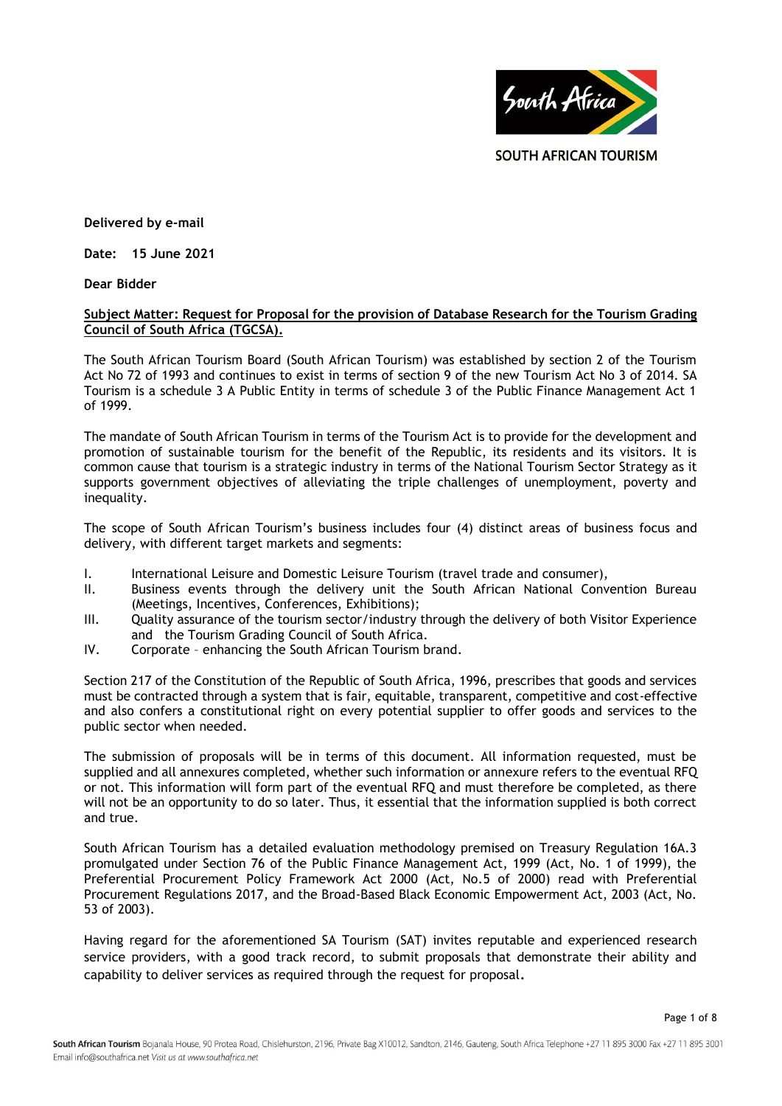

**Delivered by e-mail**

**Date: 15 June 2021**

**Dear Bidder**

## **Subject Matter: Request for Proposal for the provision of Database Research for the Tourism Grading Council of South Africa (TGCSA).**

The South African Tourism Board (South African Tourism) was established by section 2 of the Tourism Act No 72 of 1993 and continues to exist in terms of section 9 of the new Tourism Act No 3 of 2014. SA Tourism is a schedule 3 A Public Entity in terms of schedule 3 of the Public Finance Management Act 1 of 1999.

The mandate of South African Tourism in terms of the Tourism Act is to provide for the development and promotion of sustainable tourism for the benefit of the Republic, its residents and its visitors. It is common cause that tourism is a strategic industry in terms of the National Tourism Sector Strategy as it supports government objectives of alleviating the triple challenges of unemployment, poverty and inequality.

The scope of South African Tourism's business includes four (4) distinct areas of business focus and delivery, with different target markets and segments:

- I. International Leisure and Domestic Leisure Tourism (travel trade and consumer),
- II. Business events through the delivery unit the South African National Convention Bureau (Meetings, Incentives, Conferences, Exhibitions);
- III. Quality assurance of the tourism sector/industry through the delivery of both Visitor Experience and the Tourism Grading Council of South Africa.
- IV. Corporate enhancing the South African Tourism brand.

Section 217 of the Constitution of the Republic of South Africa, 1996, prescribes that goods and services must be contracted through a system that is fair, equitable, transparent, competitive and cost-effective and also confers a constitutional right on every potential supplier to offer goods and services to the public sector when needed.

The submission of proposals will be in terms of this document. All information requested, must be supplied and all annexures completed, whether such information or annexure refers to the eventual RFQ or not. This information will form part of the eventual RFQ and must therefore be completed, as there will not be an opportunity to do so later. Thus, it essential that the information supplied is both correct and true.

South African Tourism has a detailed evaluation methodology premised on Treasury Regulation 16A.3 promulgated under Section 76 of the Public Finance Management Act, 1999 (Act, No. 1 of 1999), the Preferential Procurement Policy Framework Act 2000 (Act, No.5 of 2000) read with Preferential Procurement Regulations 2017, and the Broad-Based Black Economic Empowerment Act, 2003 (Act, No. 53 of 2003).

Having regard for the aforementioned SA Tourism (SAT) invites reputable and experienced research service providers, with a good track record, to submit proposals that demonstrate their ability and capability to deliver services as required through the request for proposal**.**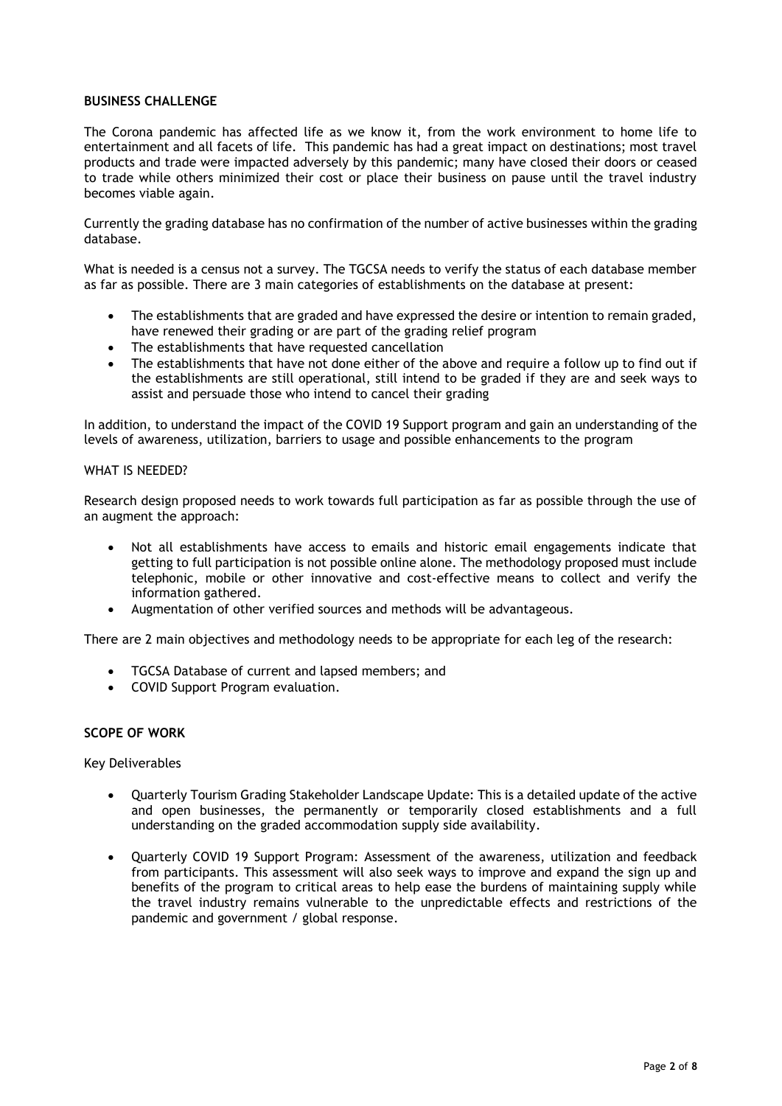## **BUSINESS CHALLENGE**

The Corona pandemic has affected life as we know it, from the work environment to home life to entertainment and all facets of life. This pandemic has had a great impact on destinations; most travel products and trade were impacted adversely by this pandemic; many have closed their doors or ceased to trade while others minimized their cost or place their business on pause until the travel industry becomes viable again.

Currently the grading database has no confirmation of the number of active businesses within the grading database.

What is needed is a census not a survey. The TGCSA needs to verify the status of each database member as far as possible. There are 3 main categories of establishments on the database at present:

- The establishments that are graded and have expressed the desire or intention to remain graded, have renewed their grading or are part of the grading relief program
- The establishments that have requested cancellation
- The establishments that have not done either of the above and require a follow up to find out if the establishments are still operational, still intend to be graded if they are and seek ways to assist and persuade those who intend to cancel their grading

In addition, to understand the impact of the COVID 19 Support program and gain an understanding of the levels of awareness, utilization, barriers to usage and possible enhancements to the program

#### WHAT IS NFFDFD?

Research design proposed needs to work towards full participation as far as possible through the use of an augment the approach:

- Not all establishments have access to emails and historic email engagements indicate that getting to full participation is not possible online alone. The methodology proposed must include telephonic, mobile or other innovative and cost-effective means to collect and verify the information gathered.
- Augmentation of other verified sources and methods will be advantageous.

There are 2 main objectives and methodology needs to be appropriate for each leg of the research:

- TGCSA Database of current and lapsed members; and
- COVID Support Program evaluation.

### **SCOPE OF WORK**

Key Deliverables

- Quarterly Tourism Grading Stakeholder Landscape Update: This is a detailed update of the active and open businesses, the permanently or temporarily closed establishments and a full understanding on the graded accommodation supply side availability.
- Quarterly COVID 19 Support Program: Assessment of the awareness, utilization and feedback from participants. This assessment will also seek ways to improve and expand the sign up and benefits of the program to critical areas to help ease the burdens of maintaining supply while the travel industry remains vulnerable to the unpredictable effects and restrictions of the pandemic and government / global response.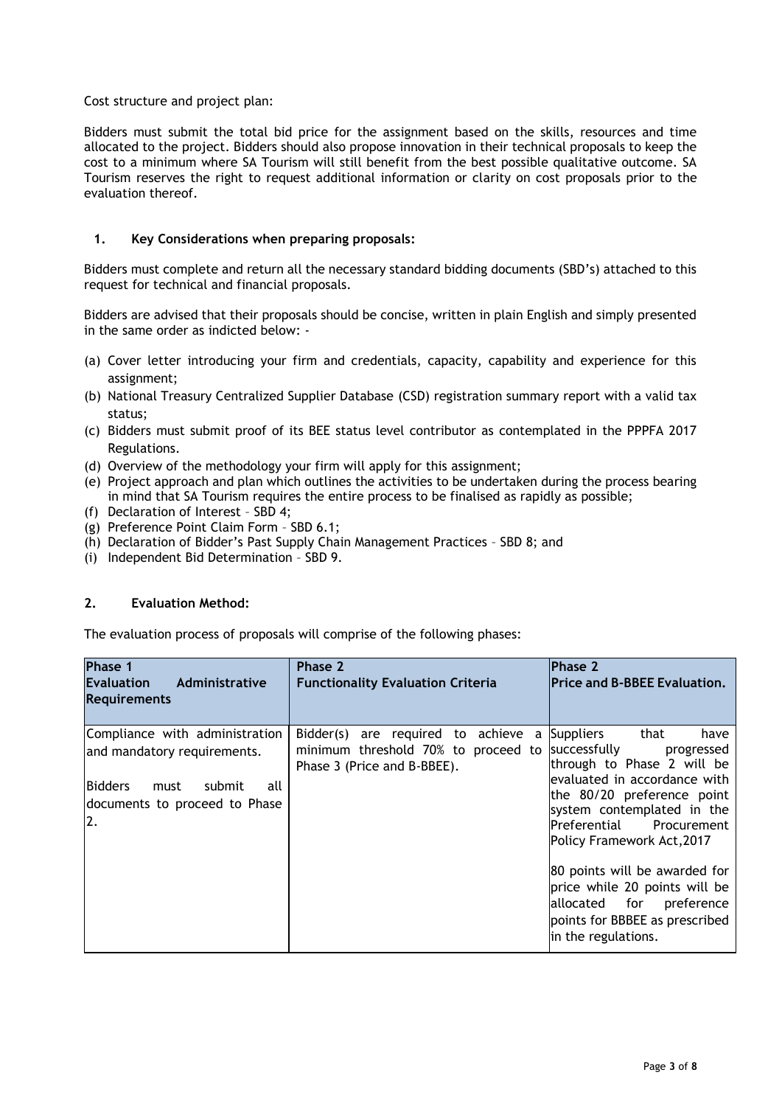## Cost structure and project plan:

Bidders must submit the total bid price for the assignment based on the skills, resources and time allocated to the project. Bidders should also propose innovation in their technical proposals to keep the cost to a minimum where SA Tourism will still benefit from the best possible qualitative outcome. SA Tourism reserves the right to request additional information or clarity on cost proposals prior to the evaluation thereof.

# **1. Key Considerations when preparing proposals:**

Bidders must complete and return all the necessary standard bidding documents (SBD's) attached to this request for technical and financial proposals.

Bidders are advised that their proposals should be concise, written in plain English and simply presented in the same order as indicted below: -

- (a) Cover letter introducing your firm and credentials, capacity, capability and experience for this assignment;
- (b) National Treasury Centralized Supplier Database (CSD) registration summary report with a valid tax status;
- (c) Bidders must submit proof of its BEE status level contributor as contemplated in the PPPFA 2017 Regulations.
- (d) Overview of the methodology your firm will apply for this assignment;
- (e) Project approach and plan which outlines the activities to be undertaken during the process bearing in mind that SA Tourism requires the entire process to be finalised as rapidly as possible;
- (f) Declaration of Interest SBD 4;
- (g) Preference Point Claim Form SBD 6.1;
- (h) Declaration of Bidder's Past Supply Chain Management Practices SBD 8; and
- (i) Independent Bid Determination SBD 9.

## **2. Evaluation Method:**

The evaluation process of proposals will comprise of the following phases:

| Phase 1<br>Administrative<br><b>Evaluation</b><br><b>Requirements</b>                                                                           | Phase 2<br><b>Functionality Evaluation Criteria</b>                                                          | <b>Phase 2</b><br><b>Price and B-BBEE Evaluation.</b>                                                                                                                                                                                                                                                                                                                                                        |
|-------------------------------------------------------------------------------------------------------------------------------------------------|--------------------------------------------------------------------------------------------------------------|--------------------------------------------------------------------------------------------------------------------------------------------------------------------------------------------------------------------------------------------------------------------------------------------------------------------------------------------------------------------------------------------------------------|
| Compliance with administration<br>and mandatory requirements.<br><b>Bidders</b><br>submit<br>must<br>all<br>documents to proceed to Phase<br>2. | Bidder(s) are required to achieve<br>a<br>minimum threshold 70% to proceed to<br>Phase 3 (Price and B-BBEE). | <b>Suppliers</b><br>that<br>have<br>successfully<br>progressed<br>through to Phase 2 will be<br>evaluated in accordance with<br>the 80/20 preference point<br>system contemplated in the<br>Preferential Procurement<br>Policy Framework Act, 2017<br>80 points will be awarded for<br>price while 20 points will be<br>allocated for<br>preference<br>points for BBBEE as prescribed<br>in the regulations. |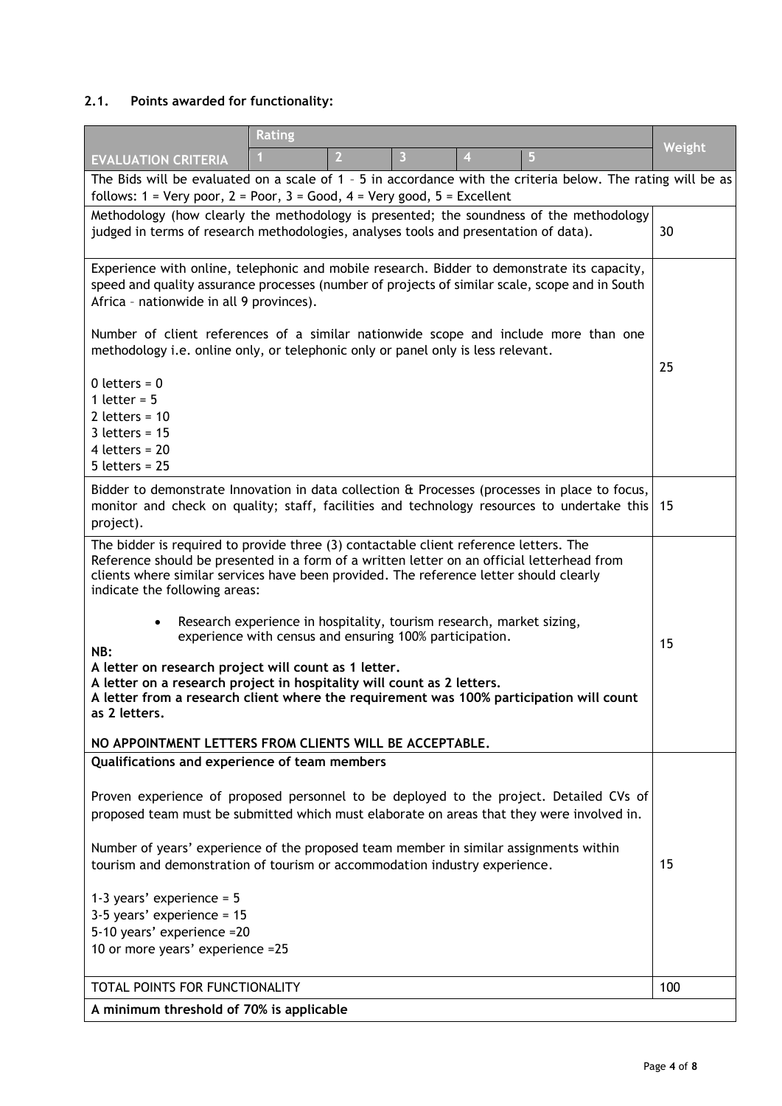# **2.1. Points awarded for functionality:**

|                                                                                                                                                                                                                                                                                                                                                                                                                                                                                                                                                                                                                                                                                                                                                                                | <b>Rating</b> |                |                         |                |   |        |
|--------------------------------------------------------------------------------------------------------------------------------------------------------------------------------------------------------------------------------------------------------------------------------------------------------------------------------------------------------------------------------------------------------------------------------------------------------------------------------------------------------------------------------------------------------------------------------------------------------------------------------------------------------------------------------------------------------------------------------------------------------------------------------|---------------|----------------|-------------------------|----------------|---|--------|
| <b>EVALUATION CRITERIA</b>                                                                                                                                                                                                                                                                                                                                                                                                                                                                                                                                                                                                                                                                                                                                                     |               | $\overline{2}$ | $\overline{\mathbf{3}}$ | $\overline{4}$ | 5 | Weight |
| The Bids will be evaluated on a scale of 1 - 5 in accordance with the criteria below. The rating will be as<br>follows: $1 = \text{Very poor}, 2 = \text{Poor}, 3 = \text{Good}, 4 = \text{Very good}, 5 = \text{Excellent}$                                                                                                                                                                                                                                                                                                                                                                                                                                                                                                                                                   |               |                |                         |                |   |        |
|                                                                                                                                                                                                                                                                                                                                                                                                                                                                                                                                                                                                                                                                                                                                                                                |               |                |                         |                |   |        |
| Methodology (how clearly the methodology is presented; the soundness of the methodology<br>judged in terms of research methodologies, analyses tools and presentation of data).                                                                                                                                                                                                                                                                                                                                                                                                                                                                                                                                                                                                |               |                | 30                      |                |   |        |
| Experience with online, telephonic and mobile research. Bidder to demonstrate its capacity,<br>speed and quality assurance processes (number of projects of similar scale, scope and in South<br>Africa - nationwide in all 9 provinces).                                                                                                                                                                                                                                                                                                                                                                                                                                                                                                                                      |               |                |                         |                |   |        |
| Number of client references of a similar nationwide scope and include more than one<br>methodology i.e. online only, or telephonic only or panel only is less relevant.                                                                                                                                                                                                                                                                                                                                                                                                                                                                                                                                                                                                        |               |                | 25                      |                |   |        |
| $0$ letters = $0$<br>1 letter = $5$<br>2 letters = $10$<br>$3$ letters = 15<br>4 letters = $20$<br>$5$ letters = 25                                                                                                                                                                                                                                                                                                                                                                                                                                                                                                                                                                                                                                                            |               |                |                         |                |   |        |
| Bidder to demonstrate Innovation in data collection & Processes (processes in place to focus,<br>monitor and check on quality; staff, facilities and technology resources to undertake this<br>project).                                                                                                                                                                                                                                                                                                                                                                                                                                                                                                                                                                       |               |                |                         |                |   | -15    |
| The bidder is required to provide three (3) contactable client reference letters. The<br>Reference should be presented in a form of a written letter on an official letterhead from<br>clients where similar services have been provided. The reference letter should clearly<br>indicate the following areas:<br>Research experience in hospitality, tourism research, market sizing,<br>$\bullet$<br>experience with census and ensuring 100% participation.<br>NB:<br>A letter on research project will count as 1 letter.<br>A letter on a research project in hospitality will count as 2 letters.<br>A letter from a research client where the requirement was 100% participation will count<br>as 2 letters.<br>NO APPOINTMENT LETTERS FROM CLIENTS WILL BE ACCEPTABLE. |               |                | 15                      |                |   |        |
| Qualifications and experience of team members<br>Proven experience of proposed personnel to be deployed to the project. Detailed CVs of<br>proposed team must be submitted which must elaborate on areas that they were involved in.<br>Number of years' experience of the proposed team member in similar assignments within<br>tourism and demonstration of tourism or accommodation industry experience.<br>1-3 years' experience = $5$<br>$3-5$ years' experience = 15<br>5-10 years' experience = 20<br>10 or more years' experience =25                                                                                                                                                                                                                                  |               |                | 15                      |                |   |        |
| TOTAL POINTS FOR FUNCTIONALITY                                                                                                                                                                                                                                                                                                                                                                                                                                                                                                                                                                                                                                                                                                                                                 |               |                |                         |                |   | 100    |
| A minimum threshold of 70% is applicable                                                                                                                                                                                                                                                                                                                                                                                                                                                                                                                                                                                                                                                                                                                                       |               |                |                         |                |   |        |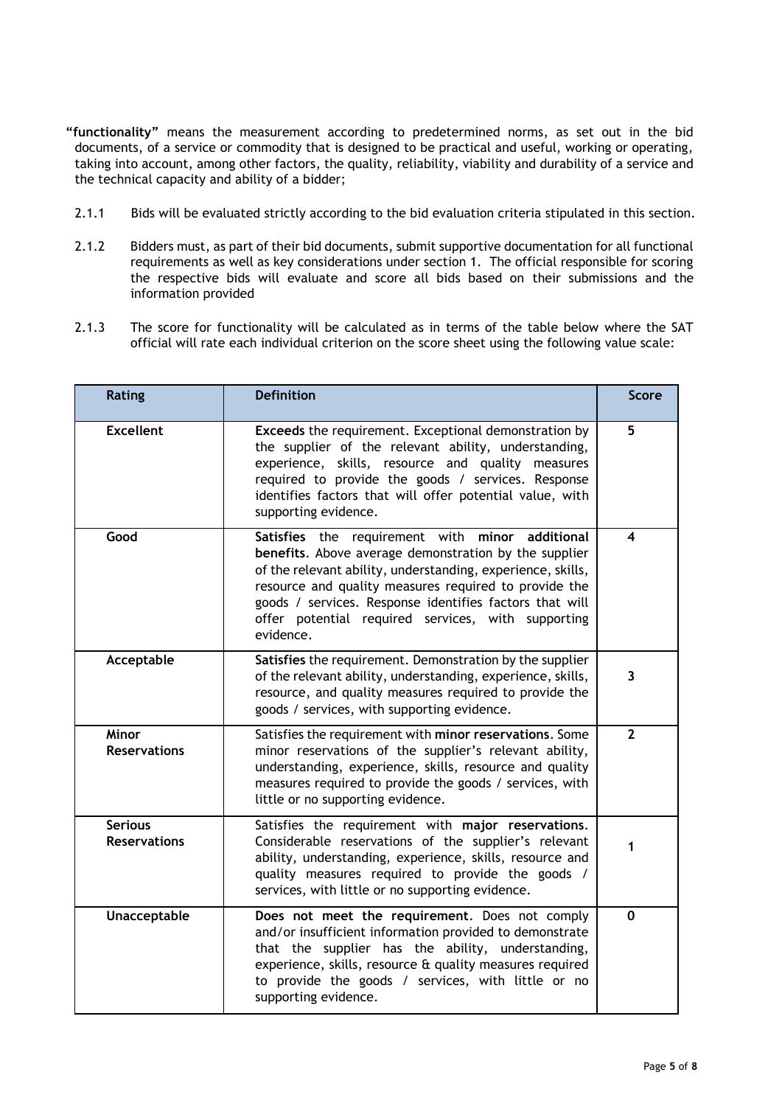- **"functionality"** means the measurement according to predetermined norms, as set out in the bid documents, of a service or commodity that is designed to be practical and useful, working or operating, taking into account, among other factors, the quality, reliability, viability and durability of a service and the technical capacity and ability of a bidder;
- 2.1.1 Bids will be evaluated strictly according to the bid evaluation criteria stipulated in this section.
- 2.1.2 Bidders must, as part of their bid documents, submit supportive documentation for all functional requirements as well as key considerations under section 1. The official responsible for scoring the respective bids will evaluate and score all bids based on their submissions and the information provided
- 2.1.3 The score for functionality will be calculated as in terms of the table below where the SAT official will rate each individual criterion on the score sheet using the following value scale:

| Rating                                | <b>Definition</b>                                                                                                                                                                                                                                                                                                                                                    | <b>Score</b> |
|---------------------------------------|----------------------------------------------------------------------------------------------------------------------------------------------------------------------------------------------------------------------------------------------------------------------------------------------------------------------------------------------------------------------|--------------|
| <b>Excellent</b>                      | Exceeds the requirement. Exceptional demonstration by<br>the supplier of the relevant ability, understanding,<br>experience, skills, resource and quality measures<br>required to provide the goods / services. Response<br>identifies factors that will offer potential value, with<br>supporting evidence.                                                         | 5            |
| Good                                  | Satisfies the requirement with<br>minor<br>additional<br>benefits. Above average demonstration by the supplier<br>of the relevant ability, understanding, experience, skills,<br>resource and quality measures required to provide the<br>goods / services. Response identifies factors that will<br>offer potential required services, with supporting<br>evidence. | 4            |
| Acceptable                            | Satisfies the requirement. Demonstration by the supplier<br>of the relevant ability, understanding, experience, skills,<br>resource, and quality measures required to provide the<br>goods / services, with supporting evidence.                                                                                                                                     | 3            |
| <b>Minor</b><br><b>Reservations</b>   | Satisfies the requirement with minor reservations. Some<br>minor reservations of the supplier's relevant ability,<br>understanding, experience, skills, resource and quality<br>measures required to provide the goods / services, with<br>little or no supporting evidence.                                                                                         | $\mathbf{2}$ |
| <b>Serious</b><br><b>Reservations</b> | Satisfies the requirement with major reservations.<br>Considerable reservations of the supplier's relevant<br>1<br>ability, understanding, experience, skills, resource and<br>quality measures required to provide the goods /<br>services, with little or no supporting evidence.                                                                                  |              |
| Unacceptable                          | Does not meet the requirement. Does not comply<br>and/or insufficient information provided to demonstrate<br>that the supplier has the ability, understanding,<br>experience, skills, resource & quality measures required<br>to provide the goods / services, with little or no<br>supporting evidence.                                                             | $\mathbf{0}$ |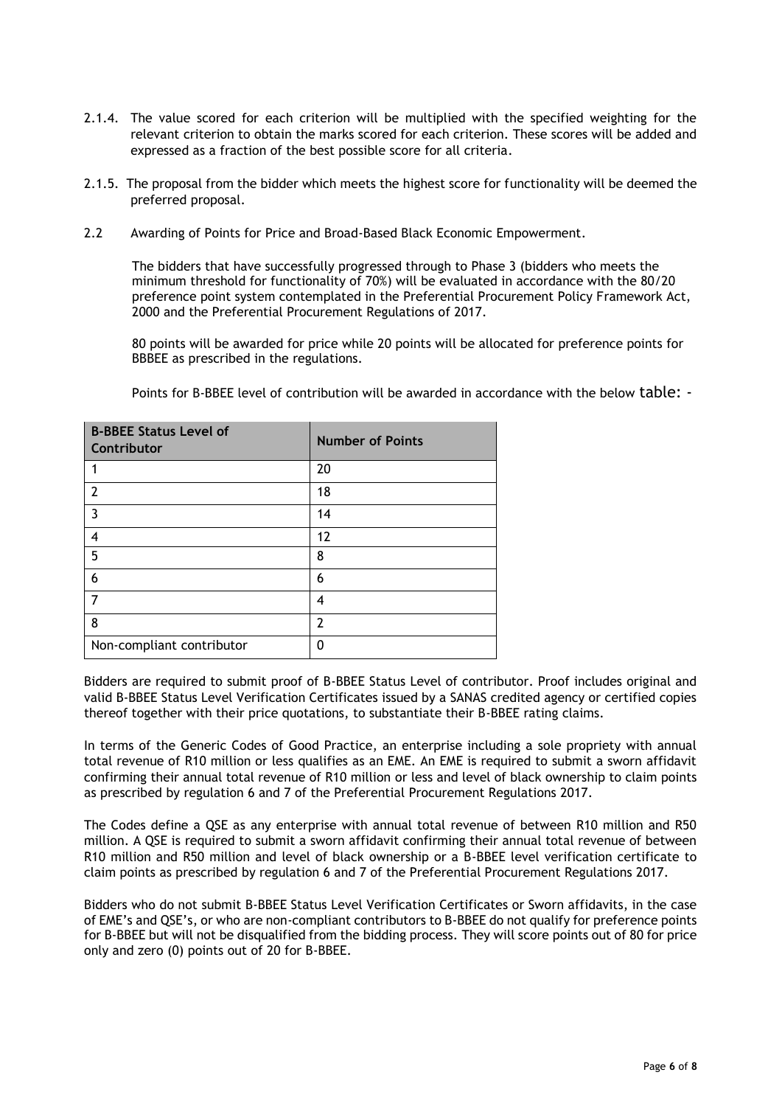- 2.1.4. The value scored for each criterion will be multiplied with the specified weighting for the relevant criterion to obtain the marks scored for each criterion. These scores will be added and expressed as a fraction of the best possible score for all criteria.
- 2.1.5. The proposal from the bidder which meets the highest score for functionality will be deemed the preferred proposal.
- 2.2 Awarding of Points for Price and Broad-Based Black Economic Empowerment.

The bidders that have successfully progressed through to Phase 3 (bidders who meets the minimum threshold for functionality of 70%) will be evaluated in accordance with the 80/20 preference point system contemplated in the Preferential Procurement Policy Framework Act, 2000 and the Preferential Procurement Regulations of 2017.

80 points will be awarded for price while 20 points will be allocated for preference points for BBBEE as prescribed in the regulations.

| <b>B-BBEE Status Level of</b><br>Contributor | <b>Number of Points</b> |
|----------------------------------------------|-------------------------|
|                                              | 20                      |
| 2                                            | 18                      |
| 3                                            | 14                      |
| 4                                            | 12                      |
| 5                                            | 8                       |
| 6                                            | 6                       |
|                                              | 4                       |
| 8                                            | 2                       |
| Non-compliant contributor                    | ŋ                       |

Points for B-BBEE level of contribution will be awarded in accordance with the below table: -

Bidders are required to submit proof of B-BBEE Status Level of contributor. Proof includes original and valid B-BBEE Status Level Verification Certificates issued by a SANAS credited agency or certified copies thereof together with their price quotations, to substantiate their B-BBEE rating claims.

In terms of the Generic Codes of Good Practice, an enterprise including a sole propriety with annual total revenue of R10 million or less qualifies as an EME. An EME is required to submit a sworn affidavit confirming their annual total revenue of R10 million or less and level of black ownership to claim points as prescribed by regulation 6 and 7 of the Preferential Procurement Regulations 2017.

The Codes define a QSE as any enterprise with annual total revenue of between R10 million and R50 million. A QSE is required to submit a sworn affidavit confirming their annual total revenue of between R10 million and R50 million and level of black ownership or a B-BBEE level verification certificate to claim points as prescribed by regulation 6 and 7 of the Preferential Procurement Regulations 2017.

Bidders who do not submit B-BBEE Status Level Verification Certificates or Sworn affidavits, in the case of EME's and QSE's, or who are non-compliant contributors to B-BBEE do not qualify for preference points for B-BBEE but will not be disqualified from the bidding process. They will score points out of 80 for price only and zero (0) points out of 20 for B-BBEE.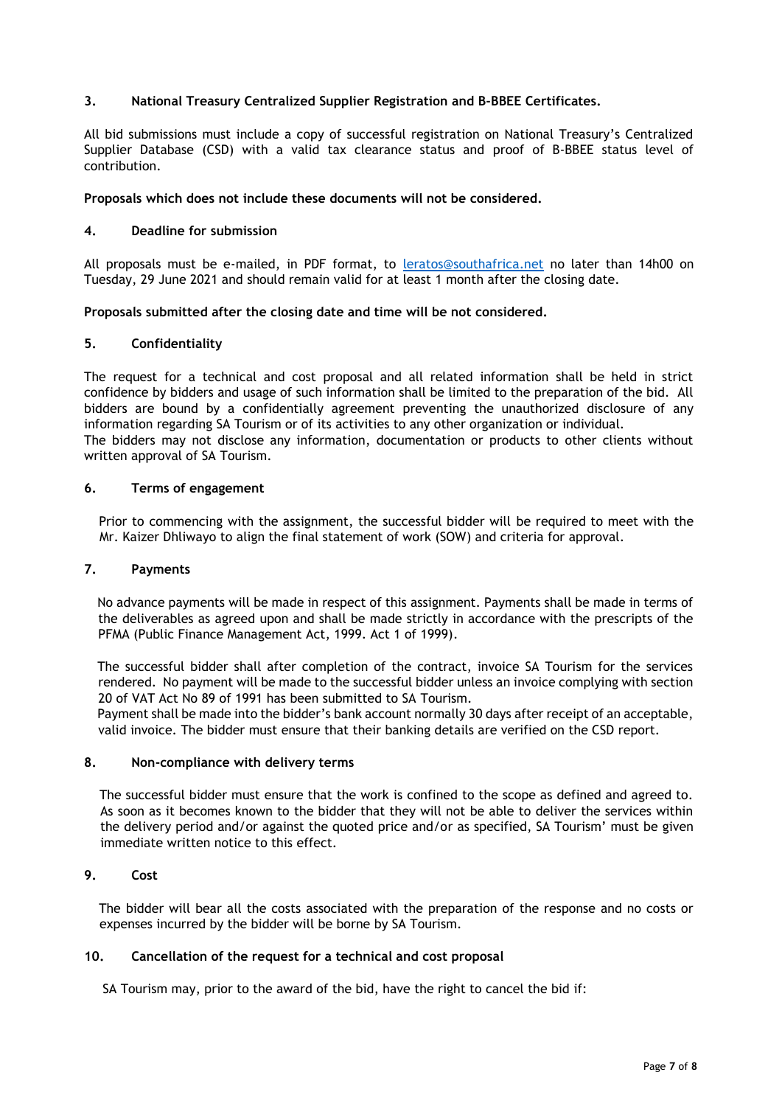# **3. National Treasury Centralized Supplier Registration and B-BBEE Certificates.**

All bid submissions must include a copy of successful registration on National Treasury's Centralized Supplier Database (CSD) with a valid tax clearance status and proof of B-BBEE status level of contribution.

### **Proposals which does not include these documents will not be considered.**

### **4. Deadline for submission**

All proposals must be e-mailed, in PDF format, to **[leratos@southafrica.net](mailto:leratos@southafrica.net)** no later than 14h00 on Tuesday, 29 June 2021 and should remain valid for at least 1 month after the closing date.

### **Proposals submitted after the closing date and time will be not considered.**

### **5. Confidentiality**

The request for a technical and cost proposal and all related information shall be held in strict confidence by bidders and usage of such information shall be limited to the preparation of the bid. All bidders are bound by a confidentially agreement preventing the unauthorized disclosure of any information regarding SA Tourism or of its activities to any other organization or individual. The bidders may not disclose any information, documentation or products to other clients without written approval of SA Tourism.

### **6. Terms of engagement**

Prior to commencing with the assignment, the successful bidder will be required to meet with the Mr. Kaizer Dhliwayo to align the final statement of work (SOW) and criteria for approval.

#### **7. Payments**

No advance payments will be made in respect of this assignment. Payments shall be made in terms of the deliverables as agreed upon and shall be made strictly in accordance with the prescripts of the PFMA (Public Finance Management Act, 1999. Act 1 of 1999).

The successful bidder shall after completion of the contract, invoice SA Tourism for the services rendered. No payment will be made to the successful bidder unless an invoice complying with section 20 of VAT Act No 89 of 1991 has been submitted to SA Tourism.

Payment shall be made into the bidder's bank account normally 30 days after receipt of an acceptable, valid invoice. The bidder must ensure that their banking details are verified on the CSD report.

### **8. Non-compliance with delivery terms**

The successful bidder must ensure that the work is confined to the scope as defined and agreed to. As soon as it becomes known to the bidder that they will not be able to deliver the services within the delivery period and/or against the quoted price and/or as specified, SA Tourism' must be given immediate written notice to this effect.

# **9. Cost**

The bidder will bear all the costs associated with the preparation of the response and no costs or expenses incurred by the bidder will be borne by SA Tourism.

## **10. Cancellation of the request for a technical and cost proposal**

SA Tourism may, prior to the award of the bid, have the right to cancel the bid if: